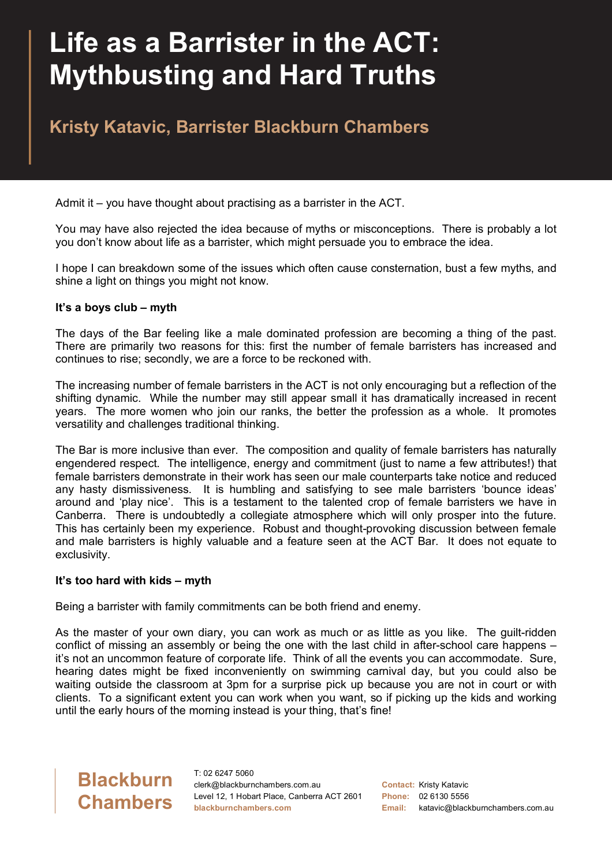# **Life as a Barrister in the ACT: Mythbusting and Hard Truths**

### **Kristy Katavic, Barrister Blackburn Chambers**

Admit it – you have thought about practising as a barrister in the ACT.

You may have also rejected the idea because of myths or misconceptions. There is probably a lot you don't know about life as a barrister, which might persuade you to embrace the idea.

I hope I can breakdown some of the issues which often cause consternation, bust a few myths, and shine a light on things you might not know.

#### **It's a boys club – myth**

The days of the Bar feeling like a male dominated profession are becoming a thing of the past. There are primarily two reasons for this: first the number of female barristers has increased and continues to rise; secondly, we are a force to be reckoned with.

The increasing number of female barristers in the ACT is not only encouraging but a reflection of the shifting dynamic. While the number may still appear small it has dramatically increased in recent years. The more women who join our ranks, the better the profession as a whole. It promotes versatility and challenges traditional thinking.

The Bar is more inclusive than ever. The composition and quality of female barristers has naturally engendered respect. The intelligence, energy and commitment (just to name a few attributes!) that female barristers demonstrate in their work has seen our male counterparts take notice and reduced any hasty dismissiveness. It is humbling and satisfying to see male barristers 'bounce ideas' around and 'play nice'. This is a testament to the talented crop of female barristers we have in Canberra. There is undoubtedly a collegiate atmosphere which will only prosper into the future. This has certainly been my experience. Robust and thought-provoking discussion between female and male barristers is highly valuable and a feature seen at the ACT Bar. It does not equate to exclusivity.

#### **It's too hard with kids – myth**

Being a barrister with family commitments can be both friend and enemy.

As the master of your own diary, you can work as much or as little as you like. The guilt-ridden conflict of missing an assembly or being the one with the last child in after-school care happens – it's not an uncommon feature of corporate life. Think of all the events you can accommodate. Sure, hearing dates might be fixed inconveniently on swimming carnival day, but you could also be waiting outside the classroom at 3pm for a surprise pick up because you are not in court or with clients. To a significant extent you can work when you want, so if picking up the kids and working until the early hours of the morning instead is your thing, that's fine!

## **Blackburn Chambers**

T: 02 6247 5060 clerk@blackburnchambers.com.au Level 12, 1 Hobart Place, Canberra ACT 2601 **blackburnchambers.com**